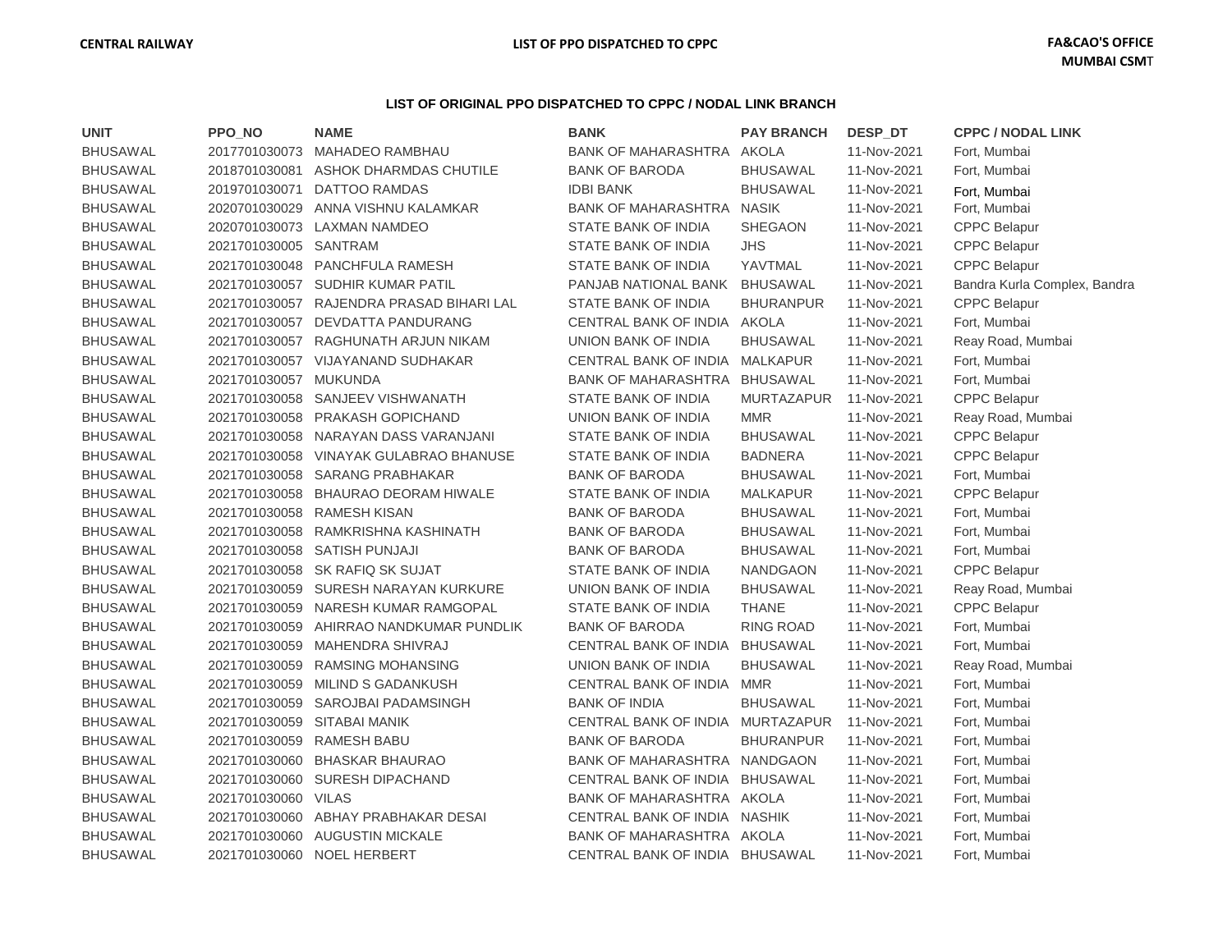## **LIST OF ORIGINAL PPO DISPATCHED TO CPPC / NODAL LINK BRANCH**

| <b>UNIT</b>     | PPO NO              | <b>NAME</b>                | <b>BANK</b>                      | <b>PAY BRANCH</b> | DESP DT     | <b>CPPC / NODAL LINK</b>     |
|-----------------|---------------------|----------------------------|----------------------------------|-------------------|-------------|------------------------------|
| <b>BHUSAWAL</b> | 2017701030073       | <b>MAHADEO RAMBHAU</b>     | BANK OF MAHARASHTRA AKOLA        |                   | 11-Nov-2021 | Fort, Mumbai                 |
| <b>BHUSAWAL</b> | 2018701030081       | ASHOK DHARMDAS CHUTILE     | <b>BANK OF BARODA</b>            | <b>BHUSAWAL</b>   | 11-Nov-2021 | Fort, Mumbai                 |
| <b>BHUSAWAL</b> | 2019701030071       | DATTOO RAMDAS              | <b>IDBI BANK</b>                 | <b>BHUSAWAL</b>   | 11-Nov-2021 | Fort, Mumbai                 |
| BHUSAWAL        | 2020701030029       | ANNA VISHNU KALAMKAR       | BANK OF MAHARASHTRA NASIK        |                   | 11-Nov-2021 | Fort, Mumbai                 |
| <b>BHUSAWAL</b> | 2020701030073       | <b>LAXMAN NAMDEO</b>       | STATE BANK OF INDIA              | SHEGAON           | 11-Nov-2021 | <b>CPPC Belapur</b>          |
| <b>BHUSAWAL</b> | 2021701030005       | SANTRAM                    | STATE BANK OF INDIA              | <b>JHS</b>        | 11-Nov-2021 | <b>CPPC Belapur</b>          |
| <b>BHUSAWAL</b> | 2021701030048       | PANCHFULA RAMESH           | STATE BANK OF INDIA              | YAVTMAL           | 11-Nov-2021 | <b>CPPC Belapur</b>          |
| <b>BHUSAWAL</b> | 2021701030057       | <b>SUDHIR KUMAR PATIL</b>  | PANJAB NATIONAL BANK             | <b>BHUSAWAL</b>   | 11-Nov-2021 | Bandra Kurla Complex, Bandra |
| <b>BHUSAWAL</b> | 2021701030057       | RAJENDRA PRASAD BIHARI LAL | STATE BANK OF INDIA              | <b>BHURANPUR</b>  | 11-Nov-2021 | <b>CPPC Belapur</b>          |
| <b>BHUSAWAL</b> | 2021701030057       | DEVDATTA PANDURANG         | CENTRAL BANK OF INDIA            | AKOLA             | 11-Nov-2021 | Fort, Mumbai                 |
| <b>BHUSAWAL</b> | 2021701030057       | RAGHUNATH ARJUN NIKAM      | UNION BANK OF INDIA              | <b>BHUSAWAL</b>   | 11-Nov-2021 | Reay Road, Mumbai            |
| <b>BHUSAWAL</b> | 2021701030057       | VIJAYANAND SUDHAKAR        | CENTRAL BANK OF INDIA            | <b>MALKAPUR</b>   | 11-Nov-2021 | Fort, Mumbai                 |
| <b>BHUSAWAL</b> | 2021701030057       | <b>MUKUNDA</b>             | <b>BANK OF MAHARASHTRA</b>       | <b>BHUSAWAL</b>   | 11-Nov-2021 | Fort, Mumbai                 |
| <b>BHUSAWAL</b> | 2021701030058       | SANJEEV VISHWANATH         | STATE BANK OF INDIA              | <b>MURTAZAPUR</b> | 11-Nov-2021 | <b>CPPC Belapur</b>          |
| <b>BHUSAWAL</b> | 2021701030058       | PRAKASH GOPICHAND          | UNION BANK OF INDIA              | <b>MMR</b>        | 11-Nov-2021 | Reay Road, Mumbai            |
| <b>BHUSAWAL</b> | 2021701030058       | NARAYAN DASS VARANJANI     | STATE BANK OF INDIA              | <b>BHUSAWAL</b>   | 11-Nov-2021 | <b>CPPC Belapur</b>          |
| <b>BHUSAWAL</b> | 2021701030058       | VINAYAK GULABRAO BHANUSE   | STATE BANK OF INDIA              | <b>BADNERA</b>    | 11-Nov-2021 | <b>CPPC Belapur</b>          |
| <b>BHUSAWAL</b> | 2021701030058       | <b>SARANG PRABHAKAR</b>    | <b>BANK OF BARODA</b>            | <b>BHUSAWAL</b>   | 11-Nov-2021 | Fort, Mumbai                 |
| <b>BHUSAWAL</b> | 2021701030058       | BHAURAO DEORAM HIWALE      | STATE BANK OF INDIA              | <b>MALKAPUR</b>   | 11-Nov-2021 | CPPC Belapur                 |
| <b>BHUSAWAL</b> | 2021701030058       | <b>RAMESH KISAN</b>        | <b>BANK OF BARODA</b>            | <b>BHUSAWAL</b>   | 11-Nov-2021 | Fort, Mumbai                 |
| <b>BHUSAWAL</b> | 2021701030058       | RAMKRISHNA KASHINATH       | <b>BANK OF BARODA</b>            | <b>BHUSAWAL</b>   | 11-Nov-2021 | Fort, Mumbai                 |
| <b>BHUSAWAL</b> | 2021701030058       | SATISH PUNJAJI             | <b>BANK OF BARODA</b>            | <b>BHUSAWAL</b>   | 11-Nov-2021 | Fort, Mumbai                 |
| <b>BHUSAWAL</b> | 2021701030058       | SK RAFIQ SK SUJAT          | STATE BANK OF INDIA              | <b>NANDGAON</b>   | 11-Nov-2021 | <b>CPPC Belapur</b>          |
| <b>BHUSAWAL</b> | 2021701030059       | SURESH NARAYAN KURKURE     | UNION BANK OF INDIA              | <b>BHUSAWAL</b>   | 11-Nov-2021 | Reay Road, Mumbai            |
| <b>BHUSAWAL</b> | 2021701030059       | NARESH KUMAR RAMGOPAL      | STATE BANK OF INDIA              | <b>THANE</b>      | 11-Nov-2021 | <b>CPPC Belapur</b>          |
| <b>BHUSAWAL</b> | 2021701030059       | AHIRRAO NANDKUMAR PUNDLIK  | <b>BANK OF BARODA</b>            | RING ROAD         | 11-Nov-2021 | Fort, Mumbai                 |
| <b>BHUSAWAL</b> | 2021701030059       | MAHENDRA SHIVRAJ           | CENTRAL BANK OF INDIA BHUSAWAL   |                   | 11-Nov-2021 | Fort, Mumbai                 |
| <b>BHUSAWAL</b> | 2021701030059       | <b>RAMSING MOHANSING</b>   | UNION BANK OF INDIA              | <b>BHUSAWAL</b>   | 11-Nov-2021 | Reay Road, Mumbai            |
| <b>BHUSAWAL</b> | 2021701030059       | MILIND S GADANKUSH         | CENTRAL BANK OF INDIA MMR        |                   | 11-Nov-2021 | Fort, Mumbai                 |
| <b>BHUSAWAL</b> | 2021701030059       | SAROJBAI PADAMSINGH        | <b>BANK OF INDIA</b>             | <b>BHUSAWAL</b>   | 11-Nov-2021 | Fort, Mumbai                 |
| <b>BHUSAWAL</b> | 2021701030059       | <b>SITABAI MANIK</b>       | CENTRAL BANK OF INDIA MURTAZAPUR |                   | 11-Nov-2021 | Fort, Mumbai                 |
| <b>BHUSAWAL</b> | 2021701030059       | <b>RAMESH BABU</b>         | <b>BANK OF BARODA</b>            | <b>BHURANPUR</b>  | 11-Nov-2021 | Fort, Mumbai                 |
| <b>BHUSAWAL</b> | 2021701030060       | <b>BHASKAR BHAURAO</b>     | <b>BANK OF MAHARASHTRA</b>       | NANDGAON          | 11-Nov-2021 | Fort, Mumbai                 |
| <b>BHUSAWAL</b> | 2021701030060       | <b>SURESH DIPACHAND</b>    | CENTRAL BANK OF INDIA            | BHUSAWAL          | 11-Nov-2021 | Fort, Mumbai                 |
| <b>BHUSAWAL</b> | 2021701030060 VILAS |                            | BANK OF MAHARASHTRA AKOLA        |                   | 11-Nov-2021 | Fort, Mumbai                 |
| <b>BHUSAWAL</b> | 2021701030060       | ABHAY PRABHAKAR DESAI      | CENTRAL BANK OF INDIA NASHIK     |                   | 11-Nov-2021 | Fort, Mumbai                 |
| <b>BHUSAWAL</b> | 2021701030060       | <b>AUGUSTIN MICKALE</b>    | BANK OF MAHARASHTRA AKOLA        |                   | 11-Nov-2021 | Fort, Mumbai                 |
| <b>BHUSAWAL</b> | 2021701030060       | <b>NOEL HERBERT</b>        | CENTRAL BANK OF INDIA            | <b>BHUSAWAL</b>   | 11-Nov-2021 | Fort, Mumbai                 |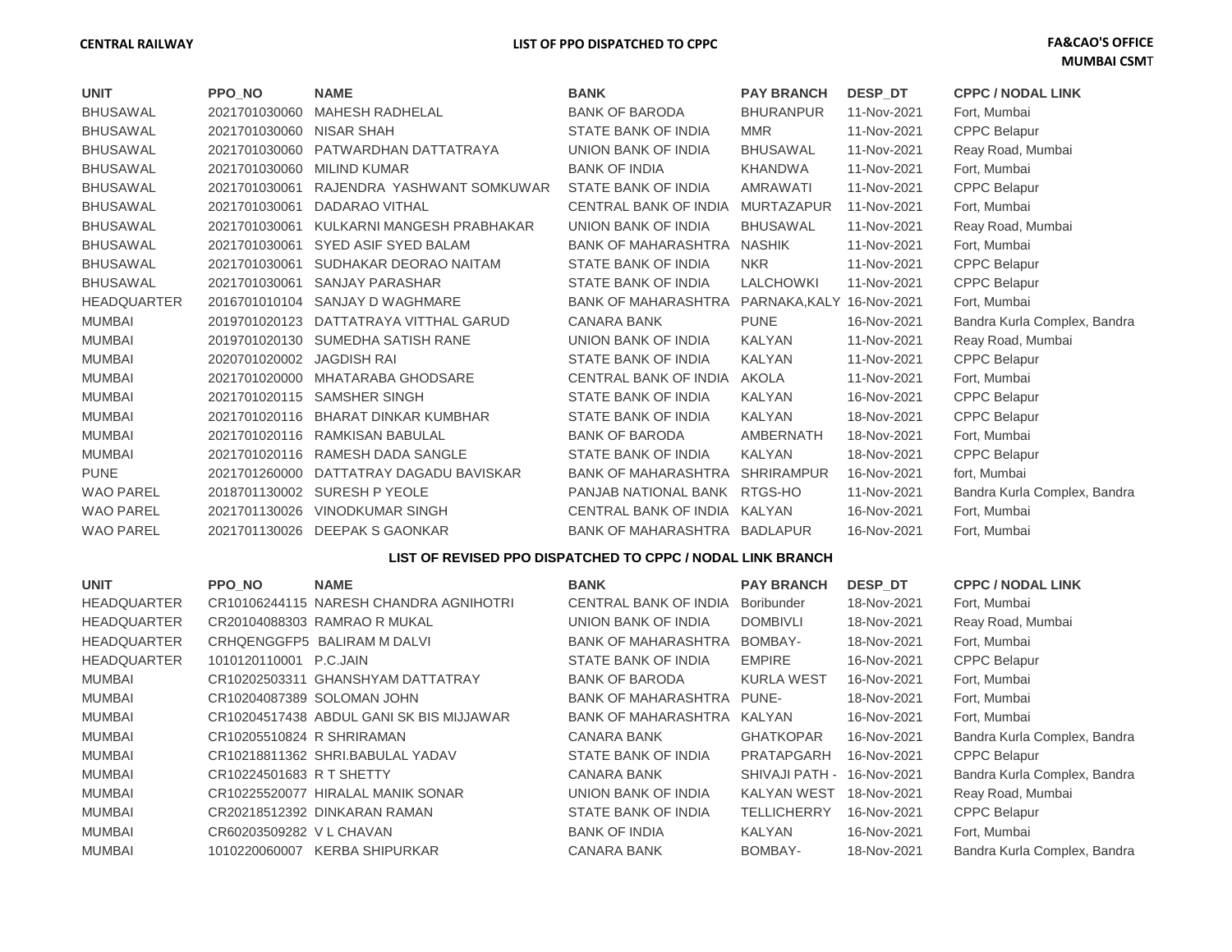## **CENTRAL RAILWAY LIST OF PPO DISPATCHED TO CPPC FA&CAO'S OFFICE**

| <b>UNIT</b>        | <b>PPO NO</b> | <b>NAME</b>                  | <b>BANK</b>                  | <b>PAY BRANCH</b> | <b>DESP DT</b> | <b>CPPC / NODAL LINK</b>     |
|--------------------|---------------|------------------------------|------------------------------|-------------------|----------------|------------------------------|
| <b>BHUSAWAL</b>    | 2021701030060 | <b>MAHESH RADHELAL</b>       | <b>BANK OF BARODA</b>        | <b>BHURANPUR</b>  | 11-Nov-2021    | Fort, Mumbai                 |
| <b>BHUSAWAL</b>    | 2021701030060 | <b>NISAR SHAH</b>            | STATE BANK OF INDIA          | <b>MMR</b>        | 11-Nov-2021    | <b>CPPC Belapur</b>          |
| <b>BHUSAWAL</b>    | 2021701030060 | PATWARDHAN DATTATRAYA        | UNION BANK OF INDIA          | <b>BHUSAWAL</b>   | 11-Nov-2021    | Reay Road, Mumbai            |
| <b>BHUSAWAL</b>    | 2021701030060 | <b>MILIND KUMAR</b>          | <b>BANK OF INDIA</b>         | <b>KHANDWA</b>    | 11-Nov-2021    | Fort, Mumbai                 |
| <b>BHUSAWAL</b>    | 2021701030061 | RAJENDRA YASHWANT SOMKUWAR   | STATE BANK OF INDIA          | AMRAWATI          | 11-Nov-2021    | <b>CPPC Belapur</b>          |
| <b>BHUSAWAL</b>    | 2021701030061 | DADARAO VITHAL               | <b>CENTRAL BANK OF INDIA</b> | <b>MURTAZAPUR</b> | 11-Nov-2021    | Fort, Mumbai                 |
| <b>BHUSAWAL</b>    | 2021701030061 | KULKARNI MANGESH PRABHAKAR   | UNION BANK OF INDIA          | <b>BHUSAWAL</b>   | 11-Nov-2021    | Reay Road, Mumbai            |
| <b>BHUSAWAL</b>    | 2021701030061 | <b>SYED ASIF SYED BALAM</b>  | <b>BANK OF MAHARASHTRA</b>   | <b>NASHIK</b>     | 11-Nov-2021    | Fort, Mumbai                 |
| <b>BHUSAWAL</b>    | 2021701030061 | SUDHAKAR DEORAO NAITAM       | <b>STATE BANK OF INDIA</b>   | <b>NKR</b>        | 11-Nov-2021    | <b>CPPC Belapur</b>          |
| <b>BHUSAWAL</b>    | 2021701030061 | <b>SANJAY PARASHAR</b>       | STATE BANK OF INDIA          | <b>LALCHOWKI</b>  | 11-Nov-2021    | <b>CPPC Belapur</b>          |
| <b>HEADQUARTER</b> | 2016701010104 | SANJAY D WAGHMARE            | <b>BANK OF MAHARASHTRA</b>   | PARNAKA.KALY      | 16-Nov-2021    | Fort, Mumbai                 |
| <b>MUMBAI</b>      | 2019701020123 | DATTATRAYA VITTHAL GARUD     | <b>CANARA BANK</b>           | <b>PUNE</b>       | 16-Nov-2021    | Bandra Kurla Complex, Bandra |
| <b>MUMBAI</b>      | 2019701020130 | SUMEDHA SATISH RANE          | UNION BANK OF INDIA          | <b>KALYAN</b>     | 11-Nov-2021    | Reay Road, Mumbai            |
| <b>MUMBAI</b>      | 2020701020002 | <b>JAGDISH RAI</b>           | STATE BANK OF INDIA          | KALYAN            | 11-Nov-2021    | <b>CPPC Belapur</b>          |
| <b>MUMBAI</b>      | 2021701020000 | <b>MHATARABA GHODSARE</b>    | CENTRAL BANK OF INDIA        | AKOLA             | 11-Nov-2021    | Fort, Mumbai                 |
| <b>MUMBAI</b>      | 2021701020115 | <b>SAMSHER SINGH</b>         | STATE BANK OF INDIA          | <b>KALYAN</b>     | 16-Nov-2021    | <b>CPPC Belapur</b>          |
| <b>MUMBAI</b>      | 2021701020116 | <b>BHARAT DINKAR KUMBHAR</b> | STATE BANK OF INDIA          | <b>KALYAN</b>     | 18-Nov-2021    | <b>CPPC Belapur</b>          |
| <b>MUMBAI</b>      | 2021701020116 | <b>RAMKISAN BABULAL</b>      | <b>BANK OF BARODA</b>        | <b>AMBERNATH</b>  | 18-Nov-2021    | Fort, Mumbai                 |
| <b>MUMBAI</b>      | 2021701020116 | <b>RAMESH DADA SANGLE</b>    | <b>STATE BANK OF INDIA</b>   | <b>KALYAN</b>     | 18-Nov-2021    | <b>CPPC Belapur</b>          |
| <b>PUNE</b>        | 2021701260000 | DATTATRAY DAGADU BAVISKAR    | <b>BANK OF MAHARASHTRA</b>   | <b>SHRIRAMPUR</b> | 16-Nov-2021    | fort, Mumbai                 |
| <b>WAO PAREL</b>   | 2018701130002 | SURESH P YEOLE               | PANJAB NATIONAL BANK         | RTGS-HO           | 11-Nov-2021    | Bandra Kurla Complex, Bandra |
| <b>WAO PAREL</b>   | 2021701130026 | <b>VINODKUMAR SINGH</b>      | CENTRAL BANK OF INDIA KALYAN |                   | 16-Nov-2021    | Fort, Mumbai                 |
| <b>WAO PAREL</b>   | 2021701130026 | <b>DEEPAK S GAONKAR</b>      | BANK OF MAHARASHTRA BADLAPUR |                   | 16-Nov-2021    | Fort, Mumbai                 |

## **LIST OF REVISED PPO DISPATCHED TO CPPC / NODAL LINK BRANCH**

| <b>UNIT</b>        | <b>PPO NO</b>             | <b>NAME</b>                              | <b>BANK</b>                | <b>PAY BRANCH</b>  | DESP DT     | <b>CPPC / NODAL LINK</b>     |
|--------------------|---------------------------|------------------------------------------|----------------------------|--------------------|-------------|------------------------------|
| <b>HEADQUARTER</b> |                           | CR10106244115 NARESH CHANDRA AGNIHOTRI   | CENTRAL BANK OF INDIA      | <b>Boribunder</b>  | 18-Nov-2021 | Fort, Mumbai                 |
| <b>HEADQUARTER</b> |                           | CR20104088303 RAMRAO R MUKAL             | UNION BANK OF INDIA        | <b>DOMBIVLI</b>    | 18-Nov-2021 | Reay Road, Mumbai            |
| <b>HEADQUARTER</b> |                           | CRHQENGGFP5 BALIRAM M DALVI              | <b>BANK OF MAHARASHTRA</b> | BOMBAY-            | 18-Nov-2021 | Fort, Mumbai                 |
| <b>HEADQUARTER</b> | 1010120110001             | P.C.JAIN                                 | STATE BANK OF INDIA        | <b>EMPIRE</b>      | 16-Nov-2021 | <b>CPPC Belapur</b>          |
| <b>MUMBAI</b>      |                           | CR10202503311 GHANSHYAM DATTATRAY        | <b>BANK OF BARODA</b>      | <b>KURLA WEST</b>  | 16-Nov-2021 | Fort. Mumbai                 |
| <b>MUMBAI</b>      |                           | CR10204087389 SOLOMAN JOHN               | <b>BANK OF MAHARASHTRA</b> | PUNE-              | 18-Nov-2021 | Fort, Mumbai                 |
| <b>MUMBAI</b>      |                           | CR10204517438 ABDUL GANI SK BIS MIJJAWAR | <b>BANK OF MAHARASHTRA</b> | KALYAN             | 16-Nov-2021 | Fort, Mumbai                 |
| MUMBAI             | CR10205510824 R SHRIRAMAN |                                          | CANARA BANK                | <b>GHATKOPAR</b>   | 16-Nov-2021 | Bandra Kurla Complex, Bandra |
| <b>MUMBAI</b>      |                           | CR10218811362 SHRI.BABULAL YADAV         | STATE BANK OF INDIA        | PRATAPGARH         | 16-Nov-2021 | <b>CPPC Belapur</b>          |
| MUMBAI             | CR10224501683 R T SHETTY  |                                          | CANARA BANK                | SHIVAJI PATH -     | 16-Nov-2021 | Bandra Kurla Complex, Bandra |
| <b>MUMBAI</b>      |                           | CR10225520077 HIRALAL MANIK SONAR        | UNION BANK OF INDIA        | KALYAN WEST        | 18-Nov-2021 | Reay Road, Mumbai            |
| <b>MUMBAI</b>      |                           | CR20218512392 DINKARAN RAMAN             | STATE BANK OF INDIA        | <b>TELLICHERRY</b> | 16-Nov-2021 | <b>CPPC Belapur</b>          |
| <b>MUMBAI</b>      | CR60203509282 VL CHAVAN   |                                          | <b>BANK OF INDIA</b>       | <b>KALYAN</b>      | 16-Nov-2021 | Fort, Mumbai                 |
| MUMBAI             | 1010220060007             | KERBA SHIPURKAR                          | <b>CANARA BANK</b>         | BOMBAY-            | 18-Nov-2021 | Bandra Kurla Complex, Bandra |